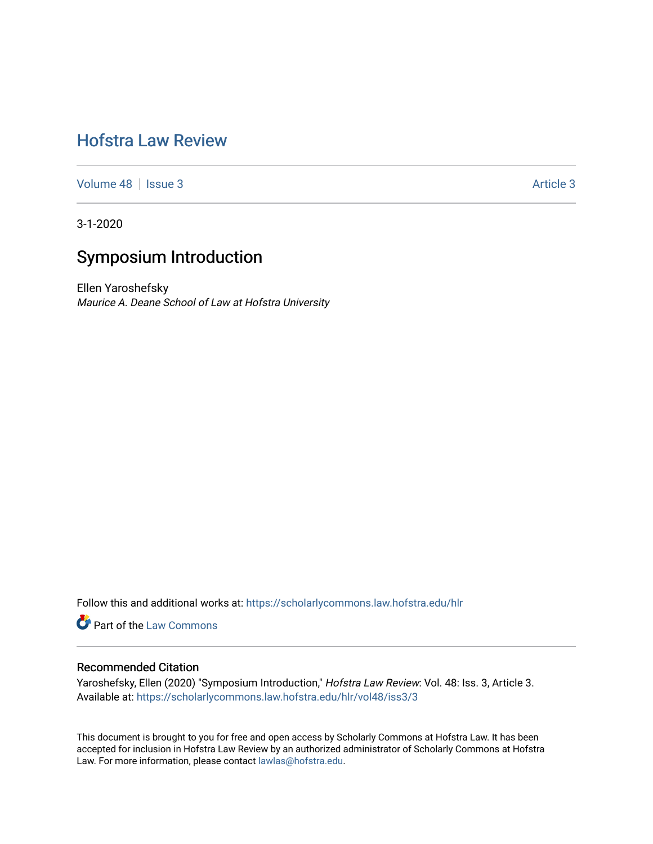# [Hofstra Law Review](https://scholarlycommons.law.hofstra.edu/hlr)

[Volume 48](https://scholarlycommons.law.hofstra.edu/hlr/vol48) | [Issue 3](https://scholarlycommons.law.hofstra.edu/hlr/vol48/iss3) Article 3

3-1-2020

# Symposium Introduction

Ellen Yaroshefsky Maurice A. Deane School of Law at Hofstra University

Follow this and additional works at: [https://scholarlycommons.law.hofstra.edu/hlr](https://scholarlycommons.law.hofstra.edu/hlr?utm_source=scholarlycommons.law.hofstra.edu%2Fhlr%2Fvol48%2Fiss3%2F3&utm_medium=PDF&utm_campaign=PDFCoverPages)

**Part of the [Law Commons](http://network.bepress.com/hgg/discipline/578?utm_source=scholarlycommons.law.hofstra.edu%2Fhlr%2Fvol48%2Fiss3%2F3&utm_medium=PDF&utm_campaign=PDFCoverPages)** 

### Recommended Citation

Yaroshefsky, Ellen (2020) "Symposium Introduction," Hofstra Law Review: Vol. 48: Iss. 3, Article 3. Available at: [https://scholarlycommons.law.hofstra.edu/hlr/vol48/iss3/3](https://scholarlycommons.law.hofstra.edu/hlr/vol48/iss3/3?utm_source=scholarlycommons.law.hofstra.edu%2Fhlr%2Fvol48%2Fiss3%2F3&utm_medium=PDF&utm_campaign=PDFCoverPages)

This document is brought to you for free and open access by Scholarly Commons at Hofstra Law. It has been accepted for inclusion in Hofstra Law Review by an authorized administrator of Scholarly Commons at Hofstra Law. For more information, please contact [lawlas@hofstra.edu.](mailto:lawlas@hofstra.edu)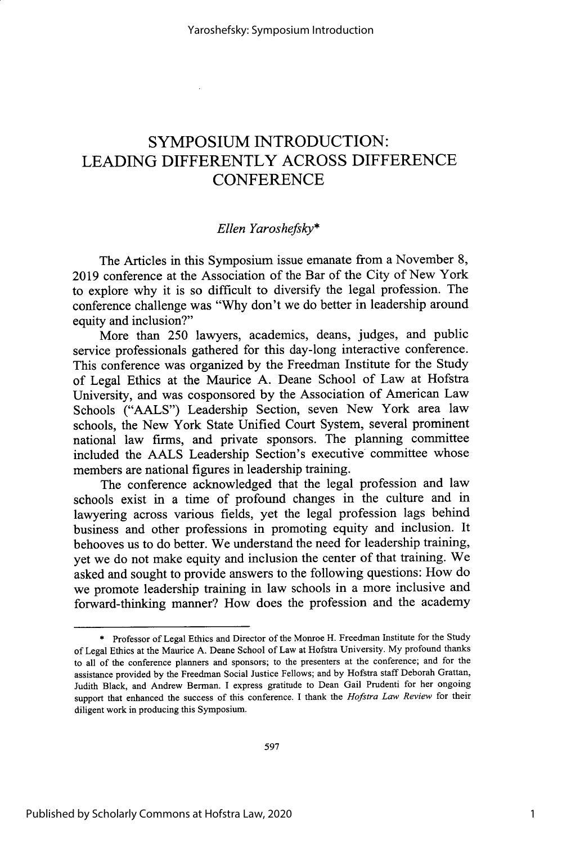## **SYMPOSIUM INTRODUCTION: LEADING** DIFFERENTLY **ACROSS DIFFERENCE CONFERENCE**

### *Ellen Yaroshefsky\**

The Articles in this Symposium issue emanate from a November **8, 2019** conference at the Association of the Bar of the City of New York to explore why it is so difficult to diversify the legal profession. The conference challenge was **"Why** don't we do better in leadership around equity and inclusion?"

More than **250** lawyers, academics, deans, judges, and public service professionals gathered for this day-long interactive conference. This conference was organized **by** the Freedman Institute for the Study of Legal Ethics at the Maurice **A.** Deane School of Law at Hofstra University, and was cosponsored **by** the Association of American Law Schools **("AALS")** Leadership Section, seven New York area law schools, the New York State Unified Court System, several prominent national law firms, and private sponsors. The planning committee included the **AALS** Leadership Section's executive committee whose members are national figures in leadership training.

The conference acknowledged that the legal profession and law schools exist in a time of profound changes in the culture and in lawyering across various fields, yet the legal profession lags behind business and other professions in promoting equity and inclusion. It behooves us to do better. We understand the need for leadership training, yet we do not make equity and inclusion the center of that training. We asked and sought to provide answers to the following questions: How do we promote leadership training in law schools in a more inclusive and forward-thinking manner? How does the profession and the academy

**<sup>\*</sup>** Professor of Legal Ethics and Director of the Monroe H. Freedman Institute for the Study of Legal Ethics at the Maurice **A.** Deane School of Law at Hofstra University. **My** profound thanks to all of the conference planners and sponsors; to the presenters at the conference; and for the assistance provided **by** the Freedman Social Justice Fellows; and **by** Hofstra staff Deborah Grattan, Judith Black, and Andrew Berman. I express gratitude to Dean Gail Prudenti for her ongoing support that enhanced the success of this conference. I thank the *Hofstra Law Review* for their diligent work in producing this Symposium.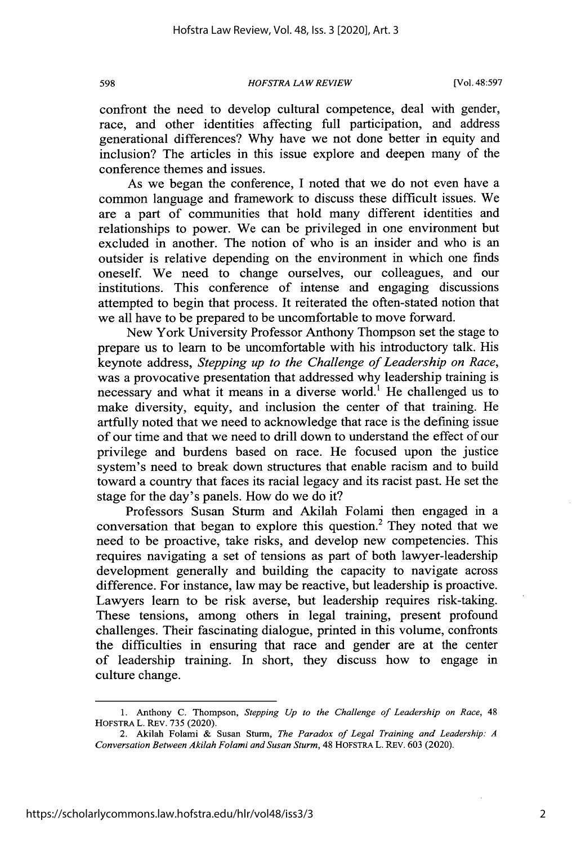**598** *HOFSTRA LAW REVIEW* [Vol. **48:597**

confront the need to develop cultural competence, deal with gender, race, and other identities affecting full participation, and address generational differences? **Why** have we not done better in equity and inclusion? The articles in this issue explore and deepen many of the conference themes and issues.

As we began the conference, **I** noted that we do not even have a common language and framework to discuss these difficult issues. We are a part of communities that hold many different identities and relationships to power. We can be privileged in one environment but excluded in another. The notion of who is an insider and who is an outsider is relative depending on the environment in which one finds oneself. We need to change ourselves, our colleagues, and our institutions. This conference of intense and engaging discussions attempted to begin that process. It reiterated the often-stated notion that we all have to be prepared to be uncomfortable to move forward.

New York University Professor Anthony Thompson set the stage to prepare us to learn to be uncomfortable with his introductory talk. His keynote address, *Stepping up to the Challenge of Leadership on Race,* was a provocative presentation that addressed why leadership training is necessary and what it means in a diverse world.' He challenged us to make diversity, equity, and inclusion the center of that training. He artfully noted that we need to acknowledge that race is the defining issue of our time and that we need to drill down to understand the effect of our privilege and burdens based on race. He focused upon the justice system's need to break down structures that enable racism and to build toward a country that faces its racial legacy and its racist past. He set the stage for the day's panels. How do we do it?

Professors Susan Sturm and Akilah Folami then engaged in a conversation that began to explore this question.<sup>2</sup> They noted that we need to be proactive, take risks, and develop new competencies. This requires navigating a set of tensions as part of both lawyer-leadership development generally and building the capacity to navigate across difference. For instance, law may be reactive, but leadership is proactive. Lawyers learn to be risk averse, but leadership requires risk-taking. These tensions, among others in legal training, present profound challenges. Their fascinating dialogue, printed in this volume, confronts the difficulties in ensuring that race and gender are at the center of leadership training. In short, they discuss how to engage in culture change.

2

**<sup>1.</sup>** Anthony **C.** Thompson, *Stepping Up to the Challenge of Leadership on Race, 48* **HOFSTRA L. REV. 735 (2020).** 

<sup>2.</sup> Akilah Folami **&** Susan Sturm, *The Paradox of Legal Training and Leadership: <sup>A</sup> Conversation Between Akilah Folami and Susan Sturm,* 48 HOFSTRA L. REV. **603** (2020).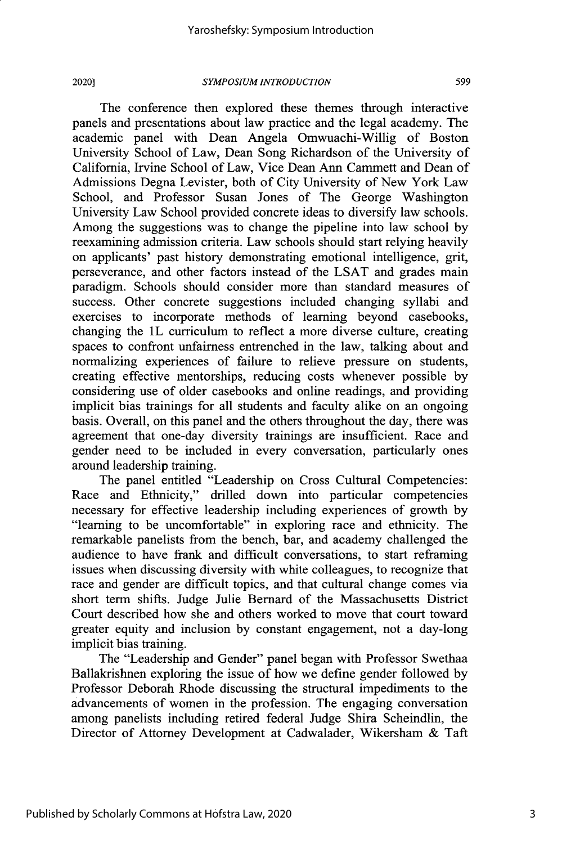#### *SYMPOSIUM INTRODUCTION* 2020]1 **599**

The conference then explored these themes through interactive panels and presentations about law practice and the legal academy. The academic panel with Dean Angela Omwuachi-Willig of Boston University School of Law, Dean Song Richardson of the University of California, Irvine School of Law, Vice Dean Ann Cammett and Dean of Admissions Degna Levister, both of City University of New York Law School, and Professor Susan Jones of The George Washington University Law School provided concrete ideas to diversify law schools. Among the suggestions was to change the pipeline into law school **by** reexamining admission criteria. Law schools should start relying heavily on applicants' past history demonstrating emotional intelligence, grit, perseverance, and other factors instead of the **LSAT** and grades main paradigm. Schools should consider more than standard measures of success. Other concrete suggestions included changing syllabi and exercises to incorporate methods of learning beyond casebooks, changing the 1L curriculum to reflect a more diverse culture, creating spaces to confront unfairness entrenched in the law, talking about and normalizing experiences of failure to relieve pressure on students, creating effective mentorships, reducing costs whenever possible **by** considering use of older casebooks and online readings, and providing implicit bias trainings for all students and faculty alike on an ongoing basis. Overall, on this panel and the others throughout the day, there was agreement that one-day diversity trainings are insufficient. Race and gender need to be included in every conversation, particularly ones around leadership training.

The panel entitled "Leadership on Cross Cultural Competencies: Race and Ethnicity," drilled down into particular competencies necessary for effective leadership including experiences of growth **by** "learning to be uncomfortable" in exploring race and ethnicity. The remarkable panelists from the bench, bar, and academy challenged the audience to have frank and difficult conversations, to start reframing issues when discussing diversity with white colleagues, to recognize that race and gender are difficult topics, and that cultural change comes via short term shifts. Judge Julie Bernard of the Massachusetts District Court described how she and others worked to move that court toward greater equity and inclusion **by** constant engagement, not a day-long implicit bias training.

The "Leadership and Gender" panel began with Professor Swethaa Ballakrishnen exploring the issue of how we define gender followed **by** Professor Deborah Rhode discussing the structural impediments to the advancements of women in the profession. The engaging conversation among panelists including retired federal Judge Shira Scheindlin, the Director of Attorney Development at Cadwalader, Wikersham **&** Taft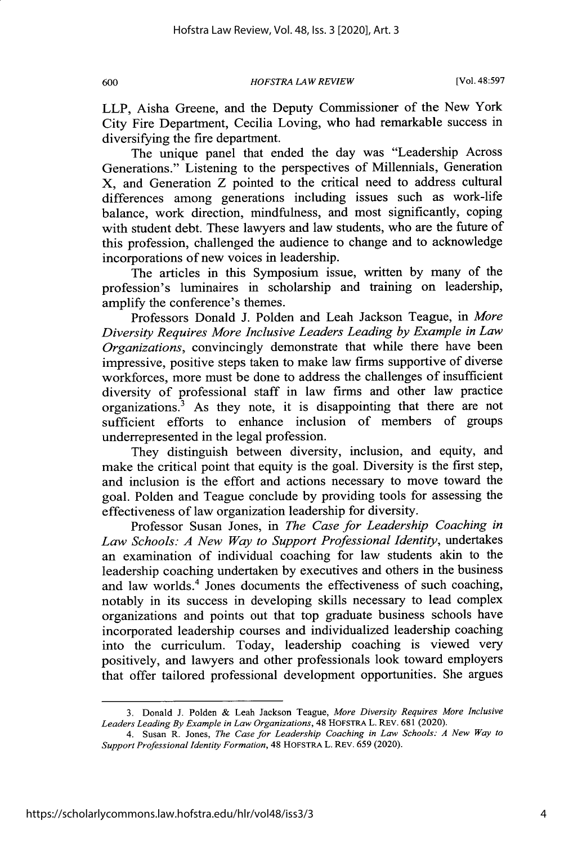**600** *HOFSTRA LAW REVIEW* [Vol. **48:597**

LLP, Aisha Greene, and the Deputy Commissioner of the New York City Fire Department, Cecilia Loving, who had remarkable success in diversifying the fire department.

The unique panel that ended the day was "Leadership Across Generations." Listening to the perspectives of Millennials, Generation X, and Generation Z pointed to the critical need to address cultural differences among generations including issues such as work-life balance, work direction, mindfulness, and most significantly, coping with student debt. These lawyers and law students, who are the future of this profession, challenged the audience to change and to acknowledge incorporations of new voices in leadership.

The articles in this Symposium issue, written **by** many of the profession's luminaires in scholarship and training on leadership, amplify the conference's themes.

Professors Donald **J.** Polden and Leah Jackson Teague, in *More Diversity Requires More Inclusive Leaders Leading by Example in Law Organizations,* convincingly demonstrate that while there have been impressive, positive steps taken to make law firms supportive of diverse workforces, more must be done to address the challenges of insufficient diversity of professional staff in law firms and other law practice organizations. $3$  As they note, it is disappointing that there are not sufficient efforts to enhance inclusion of members of groups underrepresented in the legal profession.

They distinguish between diversity, inclusion, and equity, and make the critical point that equity is the goal. Diversity is the first step, and inclusion is the effort and actions necessary to move toward the goal. Polden and Teague conclude **by** providing tools for assessing the effectiveness of law organization leadership for diversity.

Professor Susan Jones, in *The Case for Leadership Coaching in Law Schools: A New Way to Support Professional Identity,* undertakes an examination of individual coaching for law students akin to the leadership coaching undertaken **by** executives and others in the business and law worlds.<sup>4</sup> Jones documents the effectiveness of such coaching, notably in its success in developing skills necessary to lead complex organizations and points out that top graduate business schools have incorporated leadership courses and individualized leadership coaching into the curriculum. Today, leadership coaching is viewed very positively, and lawyers and other professionals look toward employers that offer tailored professional development opportunities. She argues

**<sup>3.</sup>** Donald **J.** Polden **&** Leah Jackson **Teague,** *More Diversity Requires More Inclusive Leaders Leading By Example in Law Organizations,* 48 **HOFSTRA** L. **REV.681** (2020).

*<sup>4.</sup>* Susan R. Jones, *The Case for Leadership Coaching in Law Schools: A New Way to Support Professional Identity Formation,* 48 **HOFSTRA** L. *REv.659* (2020).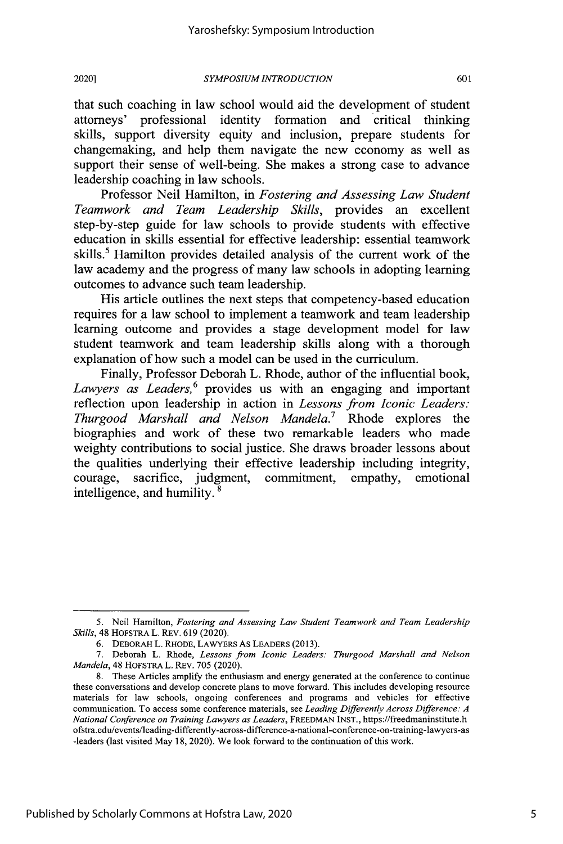that such coaching in law school would aid the development of student attorneys' professional identity formation and critical thinking skills, support diversity equity and inclusion, prepare students for changemaking, and help them navigate the new economy as well as support their sense of well-being. She makes a strong case to advance leadership coaching in law schools.

Professor Neil Hamilton, in *Fostering and Assessing Law Student Teamwork and Team Leadership Skills,* provides an excellent step-by-step guide for law schools to provide students with effective education in skills essential for effective leadership: essential teamwork skills.<sup>5</sup> Hamilton provides detailed analysis of the current work of the law academy and the progress of many law schools in adopting learning outcomes to advance such team leadership.

His article outlines the next steps that competency-based education requires for a law school to implement a teamwork and team leadership learning outcome and provides a stage development model for law student teamwork and team leadership skills along with a thorough explanation of how such a model can be used in the curriculum.

Finally, Professor Deborah L. Rhode, author of the influential book, Lawyers as Leaders,<sup>6</sup> provides us with an engaging and important reflection upon leadership in action in *Lessons from Iconic Leaders: Thurgood Marshall and Nelson Mandela*.<sup>7</sup> Rhode explores the biographies and work of these two remarkable leaders who made weighty contributions to social justice. She draws broader lessons about the qualities underlying their effective leadership including integrity, courage, sacrifice, judgment, commitment, empathy, emotional intelligence, and humility.<sup>8</sup>

*<sup>5.</sup>* Neil Hamilton, *Fostering and Assessing Law Student Teamwork and Team Leadership Skills,* 48 HOFSTRA L. REV. **619** (2020).

**<sup>6.</sup>** DEBORAH L. RHODE, LAWYERS As LEADERS **(2013).**

**<sup>7.</sup>** Deborah L. Rhode, *Lessons from Iconic Leaders: Thurgood Marshall and Nelson Mandela,* 48 HOFSTRA L. REV. **705** (2020).

**<sup>8.</sup>** These Articles amplify the enthusiasm and energy generated at the conference to continue these conversations and develop concrete plans to move forward. This includes developing resource materials for law schools, ongoing conferences and programs and vehicles for effective communication. To access some conference materials, see *Leading Differently Across Difference: A National Conference on Training Lawyers as Leaders,* FREEDMAN **INST.,** https://freedmaninstitute.h ofstra.edu/events/leading-differently-across-difference-a-national-conference-on-training-lawyers-as -leaders (last visited May **18,** 2020). We look forward to the continuation of this work.